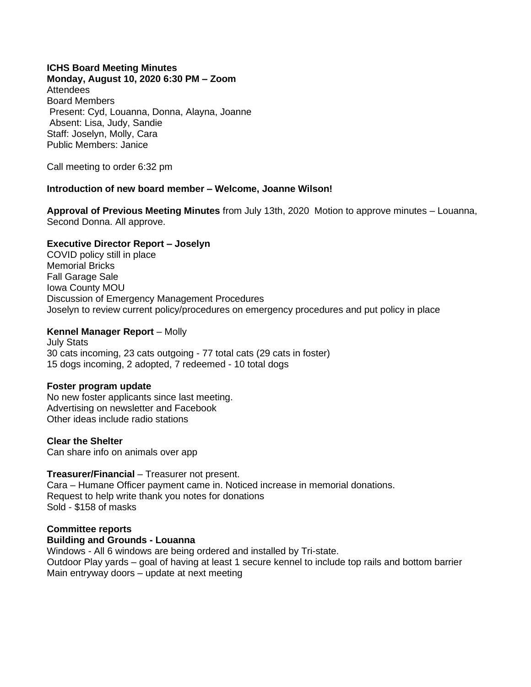## **ICHS Board Meeting Minutes**

**Monday, August 10, 2020 6:30 PM – Zoom** Attendees Board Members Present: Cyd, Louanna, Donna, Alayna, Joanne Absent: Lisa, Judy, Sandie Staff: Joselyn, Molly, Cara Public Members: Janice

Call meeting to order 6:32 pm

## **Introduction of new board member – Welcome, Joanne Wilson!**

**Approval of Previous Meeting Minutes** from July 13th, 2020 Motion to approve minutes – Louanna, Second Donna. All approve.

### **Executive Director Report – Joselyn**

COVID policy still in place Memorial Bricks Fall Garage Sale Iowa County MOU Discussion of Emergency Management Procedures Joselyn to review current policy/procedures on emergency procedures and put policy in place

## **Kennel Manager Report** – Molly

July Stats 30 cats incoming, 23 cats outgoing - 77 total cats (29 cats in foster) 15 dogs incoming, 2 adopted, 7 redeemed - 10 total dogs

### **Foster program update**

No new foster applicants since last meeting. Advertising on newsletter and Facebook Other ideas include radio stations

### **Clear the Shelter**

Can share info on animals over app

### **Treasurer/Financial** – Treasurer not present.

Cara – Humane Officer payment came in. Noticed increase in memorial donations. Request to help write thank you notes for donations Sold - \$158 of masks

# **Committee reports**

## **Building and Grounds - Louanna**

Windows - All 6 windows are being ordered and installed by Tri-state. Outdoor Play yards – goal of having at least 1 secure kennel to include top rails and bottom barrier Main entryway doors – update at next meeting